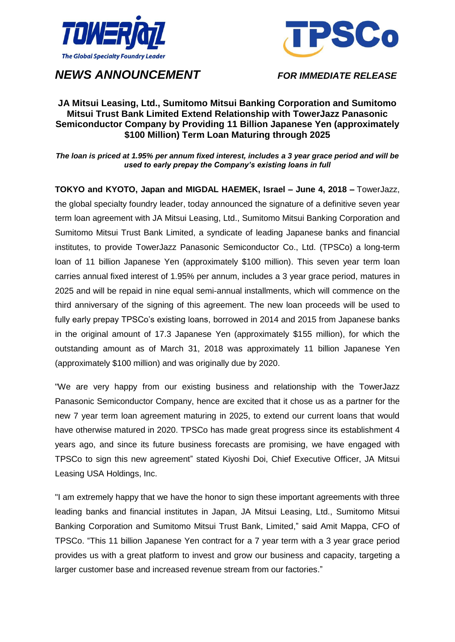

# *NEWS ANNOUNCEMENT FOR IMMEDIATE RELEASE*



# **JA Mitsui Leasing, Ltd., Sumitomo Mitsui Banking Corporation and Sumitomo Mitsui Trust Bank Limited Extend Relationship with TowerJazz Panasonic Semiconductor Company by Providing 11 Billion Japanese Yen (approximately \$100 Million) Term Loan Maturing through 2025**

*The loan is priced at 1.95% per annum fixed interest, includes a 3 year grace period and will be used to early prepay the Company's existing loans in full*

**TOKYO and KYOTO, Japan and MIGDAL HAEMEK, Israel – June 4, 2018 –** TowerJazz, the global specialty foundry leader, today announced the signature of a definitive seven year term loan agreement with JA Mitsui Leasing, Ltd., Sumitomo Mitsui Banking Corporation and Sumitomo Mitsui Trust Bank Limited, a syndicate of leading Japanese banks and financial institutes, to provide TowerJazz Panasonic Semiconductor Co., Ltd. (TPSCo) a long-term loan of 11 billion Japanese Yen (approximately \$100 million). This seven year term loan carries annual fixed interest of 1.95% per annum, includes a 3 year grace period, matures in 2025 and will be repaid in nine equal semi-annual installments, which will commence on the third anniversary of the signing of this agreement. The new loan proceeds will be used to fully early prepay TPSCo's existing loans, borrowed in 2014 and 2015 from Japanese banks in the original amount of 17.3 Japanese Yen (approximately \$155 million), for which the outstanding amount as of March 31, 2018 was approximately 11 billion Japanese Yen (approximately \$100 million) and was originally due by 2020.

"We are very happy from our existing business and relationship with the TowerJazz Panasonic Semiconductor Company, hence are excited that it chose us as a partner for the new 7 year term loan agreement maturing in 2025, to extend our current loans that would have otherwise matured in 2020. TPSCo has made great progress since its establishment 4 years ago, and since its future business forecasts are promising, we have engaged with TPSCo to sign this new agreement" stated Kiyoshi Doi, Chief Executive Officer, JA Mitsui Leasing USA Holdings, Inc.

"I am extremely happy that we have the honor to sign these important agreements with three leading banks and financial institutes in Japan, JA Mitsui Leasing, Ltd., Sumitomo Mitsui Banking Corporation and Sumitomo Mitsui Trust Bank, Limited," said Amit Mappa, CFO of TPSCo. "This 11 billion Japanese Yen contract for a 7 year term with a 3 year grace period provides us with a great platform to invest and grow our business and capacity, targeting a larger customer base and increased revenue stream from our factories."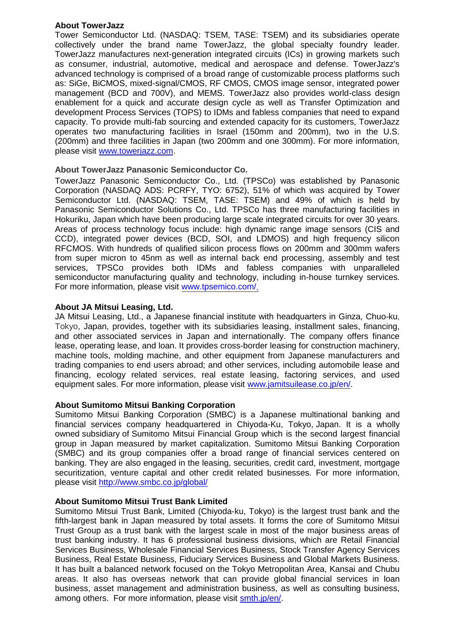#### **About TowerJazz**

Tower Semiconductor Ltd. (NASDAQ: TSEM, TASE: TSEM) and its subsidiaries operate collectively under the brand name TowerJazz, the global specialty foundry leader. TowerJazz manufactures next-generation integrated circuits (ICs) in growing markets such as consumer, industrial, automotive, medical and aerospace and defense. TowerJazz's advanced technology is comprised of a broad range of customizable process platforms such as: SiGe, BiCMOS, mixed-signal/CMOS, RF CMOS, CMOS image sensor, integrated power management (BCD and 700V), and MEMS. TowerJazz also provides world-class design enablement for a quick and accurate design cycle as well as Transfer Optimization and development Process Services (TOPS) to IDMs and fabless companies that need to expand capacity. To provide multi-fab sourcing and extended capacity for its customers, TowerJazz operates two manufacturing facilities in Israel (150mm and 200mm), two in the U.S. (200mm) and three facilities in Japan (two 200mm and one 300mm). For more information, please visit [www.towerjazz.com.](https://www.globenewswire.com/Tracker?data=D0tm3K-AB56FOiAxyH9gtD8nhjD7AFLcZxvrDnGd-Ro5bPAh4uiPznnrg7Gb8MN5KgdSoOvWSljWDZZKWUslyQ==)

## **About TowerJazz Panasonic Semiconductor Co.**

TowerJazz Panasonic Semiconductor Co., Ltd. (TPSCo) was established by Panasonic Corporation (NASDAQ ADS: PCRFY, TYO: 6752), 51% of which was acquired by Tower Semiconductor Ltd. (NASDAQ: TSEM, TASE: TSEM) and 49% of which is held by Panasonic Semiconductor Solutions Co., Ltd. TPSCo has three manufacturing facilities in Hokuriku, Japan which have been producing large scale integrated circuits for over 30 years. Areas of process technology focus include: high dynamic range image sensors (CIS and CCD), integrated power devices (BCD, SOI, and LDMOS) and high frequency silicon RFCMOS. With hundreds of qualified silicon process flows on 200mm and 300mm wafers from super micron to 45nm as well as internal back end processing, assembly and test services, TPSCo provides both IDMs and fabless companies with unparalleled semiconductor manufacturing quality and technology, including in-house turnkey services. For more information, please visit [www.tpsemico.com/](http://www.tpsemico.com/).

#### **About JA Mitsui Leasing, Ltd.**

JA Mitsui Leasing, Ltd., a Japanese financial institute with headquarters in Ginza, Chuo-ku, Tokyo, Japan, provides, together with its subsidiaries leasing, installment sales, financing, and other associated services in Japan and internationally. The company offers finance lease, operating lease, and loan. It provides cross-border leasing for construction machinery, machine tools, molding machine, and other equipment from Japanese manufacturers and trading companies to end users abroad; and other services, including automobile lease and financing, ecology related services, real estate leasing, factoring services, and used equipment sales. For more information, please visit [www.jamitsuilease.co.jp/en/.](http://www.jamitsuilease.co.jp/en/index.html)

## **About Sumitomo Mitsui Banking Corporation**

Sumitomo Mitsui Banking Corporation (SMBC) is a Japanese multinational banking and financial services company headquartered in [Chiyoda-Ku, Tokyo,](https://en.wikipedia.org/wiki/Chiyoda,_Tokyo) [Japan.](https://en.wikipedia.org/wiki/Japan) It is a wholly owned [subsidiary](https://en.wikipedia.org/wiki/Subsidiary) of [Sumitomo Mitsui Financial Group](https://en.wikipedia.org/wiki/Sumitomo_Mitsui_Financial_Group) which is the second largest financial group in Japan measured by market capitalization. Sumitomo Mitsui Banking Corporation (SMBC) and its group companies offer a broad range of financial services centered on banking. They are also engaged in the leasing, securities, credit card, investment, mortgage securitization, venture capital and other credit related businesses. For more information, please visit<http://www.smbc.co.jp/global/>

## **About Sumitomo Mitsui Trust Bank Limited**

Sumitomo Mitsui Trust Bank, Limited [\(Chiyoda-ku, Tokyo\)](https://en.wikipedia.org/wiki/Chiyoda,_Tokyo) is the largest trust bank and the fifth-largest bank in Japan measured by total assets. It forms the core of Sumitomo Mitsui Trust Group as a trust bank with the largest scale in most of the major business areas of trust banking industry. It has 6 professional business divisions, which are Retail Financial Services Business, Wholesale Financial Services Business, Stock Transfer Agency Services Business, Real Estate Business, Fiduciary Services Business and Global Markets Business. It has built a balanced network focused on the Tokyo Metropolitan Area, Kansai and Chubu areas. It also has overseas network that can provide global financial services in loan business, asset management and administration business, as well as consulting business, among others. For more information, please visit [smth.jp/en/.](http://smth.jp/en/)